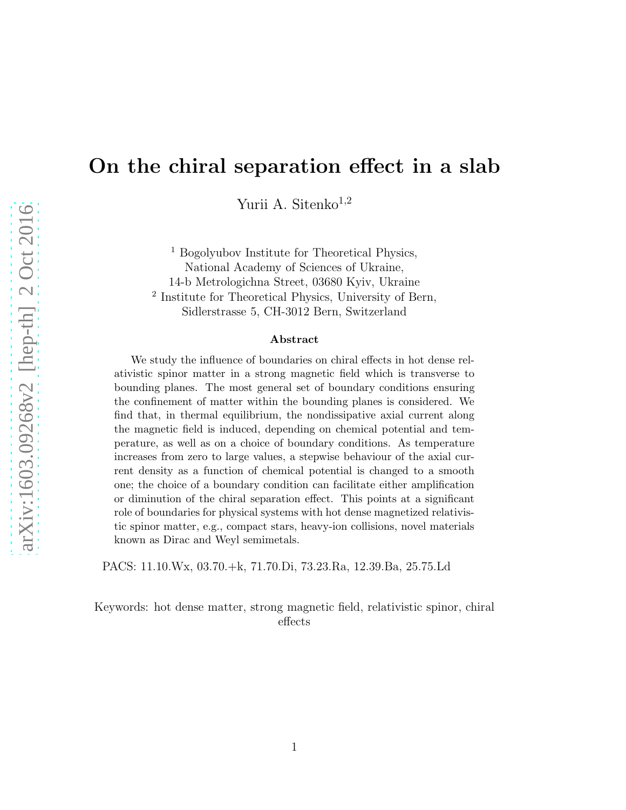# On the chiral separation effect in a slab

Yurii A. Sitenko<sup>1,2</sup>

<sup>1</sup> Bogolyubov Institute for Theoretical Physics, National Academy of Sciences of Ukraine, 14-b Metrologichna Street, 03680 Kyiv, Ukraine 2 Institute for Theoretical Physics, University of Bern, Sidlerstrasse 5, CH-3012 Bern, Switzerland

#### Abstract

We study the influence of boundaries on chiral effects in hot dense relativistic spinor matter in a strong magnetic field which is transverse to bounding planes. The most general set of boundary conditions ensuring the confinement of matter within the bounding planes is considered. We find that, in thermal equilibrium, the nondissipative axial current along the magnetic field is induced, depending on chemical potential and temperature, as well as on a choice of boundary conditions. As temperature increases from zero to large values, a stepwise behaviour of the axial current density as a function of chemical potential is changed to a smooth one; the choice of a boundary condition can facilitate either amplification or diminution of the chiral separation effect. This points at a significant role of boundaries for physical systems with hot dense magnetized relativistic spinor matter, e.g., compact stars, heavy-ion collisions, novel materials known as Dirac and Weyl semimetals.

PACS: 11.10.Wx, 03.70.+k, 71.70.Di, 73.23.Ra, 12.39.Ba, 25.75.Ld

Keywords: hot dense matter, strong magnetic field, relativistic spinor, chiral effects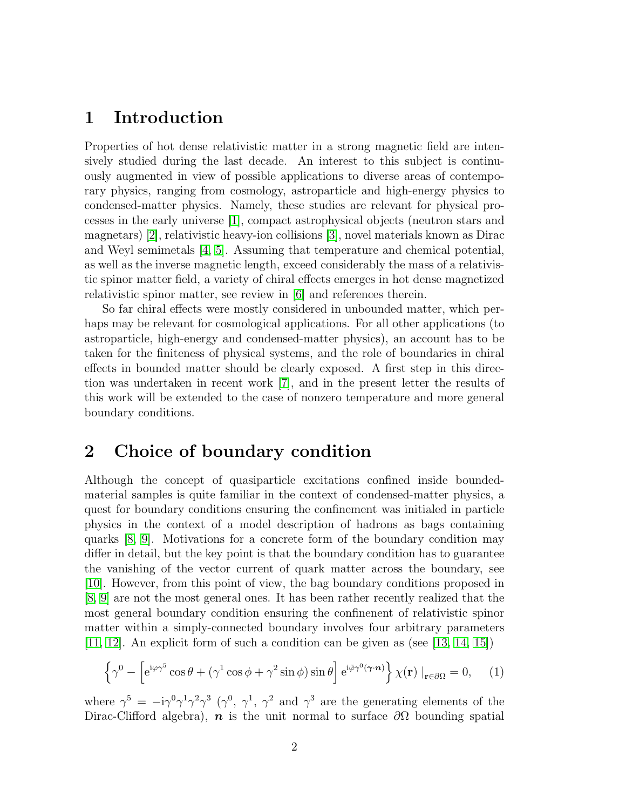### 1 Introduction

Properties of hot dense relativistic matter in a strong magnetic field are intensively studied during the last decade. An interest to this subject is continuously augmented in view of possible applications to diverse areas of contemporary physics, ranging from cosmology, astroparticle and high-energy physics to condensed-matter physics. Namely, these studies are relevant for physical processes in the early universe [\[1\]](#page-7-0), compact astrophysical objects (neutron stars and magnetars) [\[2\]](#page-7-1), relativistic heavy-ion collisions [\[3\]](#page-7-2), novel materials known as Dirac and Weyl semimetals [\[4,](#page-7-3) [5\]](#page-7-4). Assuming that temperature and chemical potential, as well as the inverse magnetic length, exceed considerably the mass of a relativistic spinor matter field, a variety of chiral effects emerges in hot dense magnetized relativistic spinor matter, see review in [\[6\]](#page-7-5) and references therein.

So far chiral effects were mostly considered in unbounded matter, which perhaps may be relevant for cosmological applications. For all other applications (to astroparticle, high-energy and condensed-matter physics), an account has to be taken for the finiteness of physical systems, and the role of boundaries in chiral effects in bounded matter should be clearly exposed. A first step in this direction was undertaken in recent work [\[7\]](#page-8-0), and in the present letter the results of this work will be extended to the case of nonzero temperature and more general boundary conditions.

# 2 Choice of boundary condition

Although the concept of quasiparticle excitations confined inside boundedmaterial samples is quite familiar in the context of condensed-matter physics, a quest for boundary conditions ensuring the confinement was initialed in particle physics in the context of a model description of hadrons as bags containing quarks [\[8,](#page-8-1) [9\]](#page-8-2). Motivations for a concrete form of the boundary condition may differ in detail, but the key point is that the boundary condition has to guarantee the vanishing of the vector current of quark matter across the boundary, see [\[10\]](#page-8-3). However, from this point of view, the bag boundary conditions proposed in [\[8,](#page-8-1) [9\]](#page-8-2) are not the most general ones. It has been rather recently realized that the most general boundary condition ensuring the confinenent of relativistic spinor matter within a simply-connected boundary involves four arbitrary parameters [\[11,](#page-8-4) [12\]](#page-8-5). An explicit form of such a condition can be given as (see [\[13,](#page-8-6) [14,](#page-8-7) [15\]](#page-8-8))

$$
\left\{\gamma^0 - \left[e^{i\varphi\gamma^5}\cos\theta + (\gamma^1\cos\phi + \gamma^2\sin\phi)\sin\theta\right]e^{i\tilde{\varphi}\gamma^0(\gamma \cdot \mathbf{n})}\right\}\chi(\mathbf{r})\big|_{\mathbf{r}\in\partial\Omega} = 0,\qquad(1)
$$

where  $\gamma^5 = -i\gamma^0\gamma^1\gamma^2\gamma^3$  ( $\gamma^0$ ,  $\gamma^1$ ,  $\gamma^2$  and  $\gamma^3$  are the generating elements of the Dirac-Clifford algebra),  $\boldsymbol{n}$  is the unit normal to surface  $\partial\Omega$  bounding spatial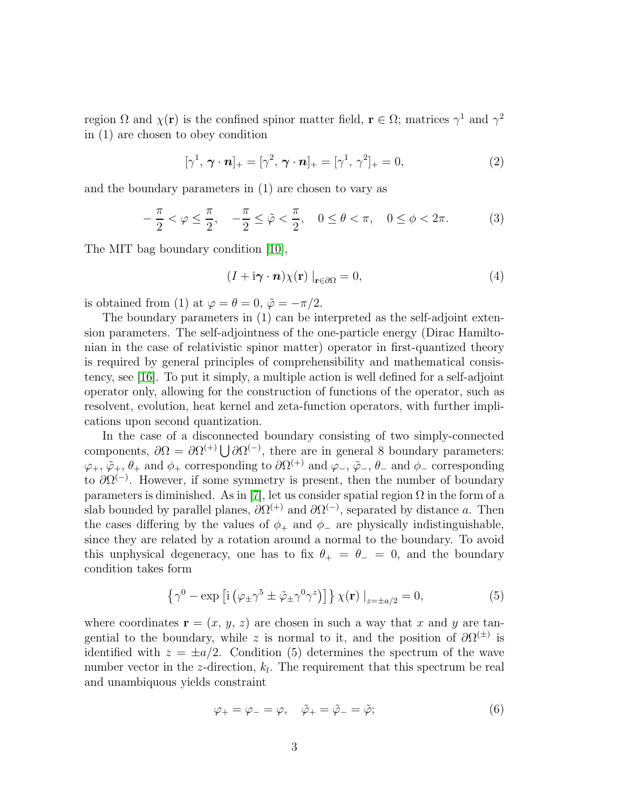region  $\Omega$  and  $\chi(\mathbf{r})$  is the confined spinor matter field,  $\mathbf{r} \in \Omega$ ; matrices  $\gamma^1$  and  $\gamma^2$ in (1) are chosen to obey condition

$$
[\gamma^1, \boldsymbol{\gamma} \cdot \boldsymbol{n}]_+ = [\gamma^2, \boldsymbol{\gamma} \cdot \boldsymbol{n}]_+ = [\gamma^1, \gamma^2]_+ = 0, \tag{2}
$$

and the boundary parameters in (1) are chosen to vary as

$$
-\frac{\pi}{2} < \varphi \le \frac{\pi}{2}, \quad -\frac{\pi}{2} \le \tilde{\varphi} < \frac{\pi}{2}, \quad 0 \le \theta < \pi, \quad 0 \le \phi < 2\pi. \tag{3}
$$

The MIT bag boundary condition [\[10\]](#page-8-3),

$$
(I + i\boldsymbol{\gamma} \cdot \boldsymbol{n}) \chi(\mathbf{r}) \big|_{\mathbf{r} \in \partial \Omega} = 0,
$$
 (4)

is obtained from (1) at  $\varphi = \theta = 0$ ,  $\tilde{\varphi} = -\pi/2$ .

The boundary parameters in (1) can be interpreted as the self-adjoint extension parameters. The self-adjointness of the one-particle energy (Dirac Hamiltonian in the case of relativistic spinor matter) operator in first-quantized theory is required by general principles of comprehensibility and mathematical consistency, see [\[16\]](#page-8-9). To put it simply, a multiple action is well defined for a self-adjoint operator only, allowing for the construction of functions of the operator, such as resolvent, evolution, heat kernel and zeta-function operators, with further implications upon second quantization.

In the case of a disconnected boundary consisting of two simply-connected components,  $\partial\Omega = \partial\Omega^{(+)} \bigcup \partial\Omega^{(-)}$ , there are in general 8 boundary parameters:  $\varphi_+$ ,  $\tilde{\varphi}_+$ ,  $\theta_+$  and  $\phi_+$  corresponding to  $\partial \Omega^{(+)}$  and  $\varphi_-$ ,  $\tilde{\varphi}_-$ ,  $\theta_-$  and  $\phi_-$  corresponding to  $\partial \Omega^{(-)}$ . However, if some symmetry is present, then the number of boundary parameters is diminished. As in [\[7\]](#page-8-0), let us consider spatial region  $\Omega$  in the form of a slab bounded by parallel planes,  $\partial \Omega^{(+)}$  and  $\partial \Omega^{(-)}$ , separated by distance a. Then the cases differing by the values of  $\phi_+$  and  $\phi_-$  are physically indistinguishable, since they are related by a rotation around a normal to the boundary. To avoid this unphysical degeneracy, one has to fix  $\theta_+ = \theta_- = 0$ , and the boundary condition takes form

$$
\left\{\gamma^{0} - \exp\left[i\left(\varphi_{\pm}\gamma^{5} \pm \tilde{\varphi}_{\pm}\gamma^{0}\gamma^{z}\right)\right]\right\}\chi(\mathbf{r})\big|_{z=\pm a/2} = 0,
$$
\n(5)

where coordinates  $\mathbf{r} = (x, y, z)$  are chosen in such a way that x and y are tangential to the boundary, while z is normal to it, and the position of  $\partial\Omega^{(\pm)}$  is identified with  $z = \pm a/2$ . Condition (5) determines the spectrum of the wave number vector in the z-direction,  $k_l$ . The requirement that this spectrum be real and unambiquous yields constraint

$$
\varphi_+ = \varphi_- = \varphi, \quad \tilde{\varphi}_+ = \tilde{\varphi}_- = \tilde{\varphi}; \tag{6}
$$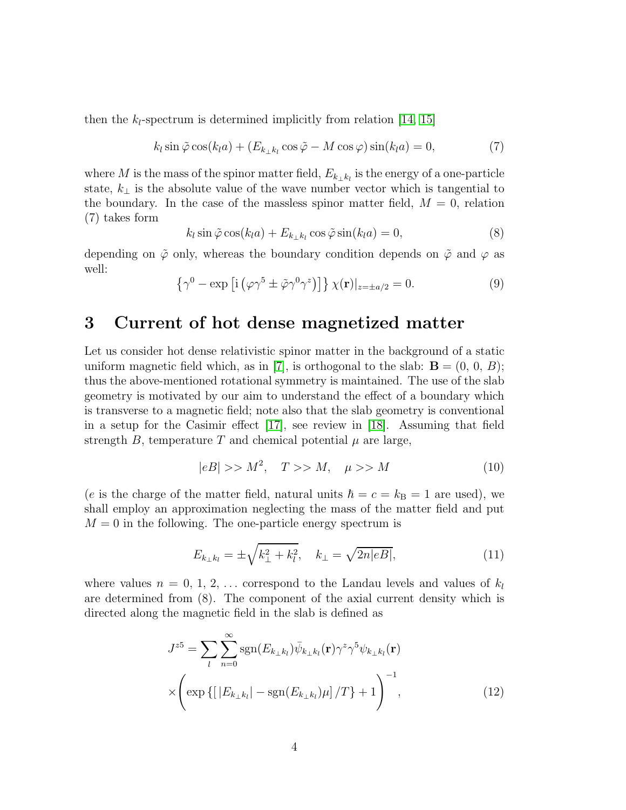then the  $k_l$ -spectrum is determined implicitly from relation [\[14,](#page-8-7) [15\]](#page-8-8)

$$
k_l \sin \tilde{\varphi} \cos(k_l a) + (E_{k_{\perp} k_l} \cos \tilde{\varphi} - M \cos \varphi) \sin(k_l a) = 0, \tag{7}
$$

where M is the mass of the spinor matter field,  $E_{k_{\perp} k_l}$  is the energy of a one-particle state,  $k_{\perp}$  is the absolute value of the wave number vector which is tangential to the boundary. In the case of the massless spinor matter field,  $M = 0$ , relation (7) takes form

$$
k_l \sin \tilde{\varphi} \cos(k_l a) + E_{k_{\perp} k_l} \cos \tilde{\varphi} \sin(k_l a) = 0,
$$
\n(8)

depending on  $\tilde{\varphi}$  only, whereas the boundary condition depends on  $\tilde{\varphi}$  and  $\varphi$  as well:

$$
\{\gamma^0 - \exp\left[i\left(\varphi\gamma^5 \pm \tilde{\varphi}\gamma^0\gamma^z\right)\right]\}\chi(\mathbf{r})|_{z=\pm a/2} = 0. \tag{9}
$$

#### 3 Current of hot dense magnetized matter

Let us consider hot dense relativistic spinor matter in the background of a static uniform magnetic field which, as in [\[7\]](#page-8-0), is orthogonal to the slab:  $\mathbf{B} = (0, 0, B)$ ; thus the above-mentioned rotational symmetry is maintained. The use of the slab geometry is motivated by our aim to understand the effect of a boundary which is transverse to a magnetic field; note also that the slab geometry is conventional in a setup for the Casimir effect [\[17\]](#page-8-10), see review in [\[18\]](#page-8-11). Assuming that field strength B, temperature T and chemical potential  $\mu$  are large,

$$
|eB| \gg M^2, \quad T \gg M, \quad \mu \gg M \tag{10}
$$

(e is the charge of the matter field, natural units  $\hbar = c = k_B = 1$  are used), we shall employ an approximation neglecting the mass of the matter field and put  $M = 0$  in the following. The one-particle energy spectrum is

$$
E_{k_{\perp}k_{l}} = \pm \sqrt{k_{\perp}^{2} + k_{l}^{2}}, \quad k_{\perp} = \sqrt{2n|eB|}, \tag{11}
$$

where values  $n = 0, 1, 2, \ldots$  correspond to the Landau levels and values of  $k_l$ are determined from (8). The component of the axial current density which is directed along the magnetic field in the slab is defined as

$$
J^{z5} = \sum_{l} \sum_{n=0}^{\infty} \text{sgn}(E_{k_{\perp}k_{l}}) \bar{\psi}_{k_{\perp}k_{l}}(\mathbf{r}) \gamma^{z} \gamma^{5} \psi_{k_{\perp}k_{l}}(\mathbf{r})
$$

$$
\times \left( \exp\left\{ \left[ |E_{k_{\perp}k_{l}}| - \text{sgn}(E_{k_{\perp}k_{l}}) \mu \right] / T \right\} + 1 \right)^{-1}, \tag{12}
$$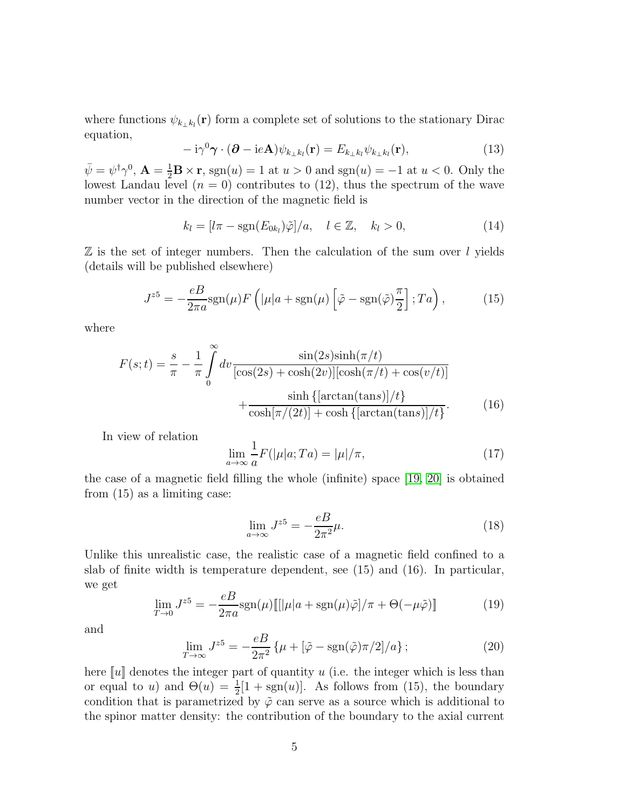where functions  $\psi_{k_{\perp} k_l}(\mathbf{r})$  form a complete set of solutions to the stationary Dirac equation,

$$
-i\gamma^{0}\boldsymbol{\gamma}\cdot(\boldsymbol{\partial}-ie\mathbf{A})\psi_{k_{\perp}k_{l}}(\mathbf{r})=E_{k_{\perp}k_{l}}\psi_{k_{\perp}k_{l}}(\mathbf{r}), \qquad (13)
$$

 $\bar{\psi} = \psi^{\dagger} \gamma^{0}$ ,  $\mathbf{A} = \frac{1}{2} \mathbf{B} \times \mathbf{r}$ , sgn(u) = 1 at  $u > 0$  and sgn(u) = -1 at  $u < 0$ . Only the lowest Landau level  $(n = 0)$  contributes to  $(12)$ , thus the spectrum of the wave number vector in the direction of the magnetic field is

$$
k_l = [l\pi - \text{sgn}(E_{0k_l})\tilde{\varphi}]/a, \quad l \in \mathbb{Z}, \quad k_l > 0,
$$
\n(14)

 $\mathbb Z$  is the set of integer numbers. Then the calculation of the sum over l yields (details will be published elsewhere)

$$
J^{z5} = -\frac{eB}{2\pi a} \text{sgn}(\mu) F\left( |\mu| a + \text{sgn}(\mu) \left[ \tilde{\varphi} - \text{sgn}(\tilde{\varphi}) \frac{\pi}{2} \right]; T a \right),\tag{15}
$$

where

$$
F(s;t) = \frac{s}{\pi} - \frac{1}{\pi} \int_0^\infty dv \frac{\sin(2s)\sinh(\pi/t)}{[\cos(2s) + \cosh(2v)][\cosh(\pi/t) + \cos(v/t)]} + \frac{\sinh\{\left[\arctan(\tan s)\right]/t\}}{\cosh[\pi/(2t)] + \cosh\{\left[\arctan(\tan s)\right]/t\}}.
$$
 (16)

In view of relation

$$
\lim_{a \to \infty} \frac{1}{a} F(|\mu|a; Ta) = |\mu|/\pi,
$$
\n(17)

the case of a magnetic field filling the whole (infinite) space [\[19,](#page-8-12) [20\]](#page-8-13) is obtained from (15) as a limiting case:

$$
\lim_{a \to \infty} J^{z5} = -\frac{eB}{2\pi^2} \mu.
$$
\n(18)

Unlike this unrealistic case, the realistic case of a magnetic field confined to a slab of finite width is temperature dependent, see (15) and (16). In particular, we get

$$
\lim_{T \to 0} J^{z5} = -\frac{eB}{2\pi a} \text{sgn}(\mu) \left[ \left[ |\mu| a + \text{sgn}(\mu) \tilde{\varphi} \right] / \pi + \Theta(-\mu \tilde{\varphi}) \right] \tag{19}
$$

and

$$
\lim_{T \to \infty} J^{z5} = -\frac{eB}{2\pi^2} \left\{ \mu + [\tilde{\varphi} - \text{sgn}(\tilde{\varphi})\pi/2]/a \right\};\tag{20}
$$

here  $\llbracket u \rrbracket$  denotes the integer part of quantity u (i.e. the integer which is less than or equal to u) and  $\Theta(u) = \frac{1}{2}[1 + \text{sgn}(u)]$ . As follows from (15), the boundary condition that is parametrized by  $\tilde{\varphi}$  can serve as a source which is additional to the spinor matter density: the contribution of the boundary to the axial current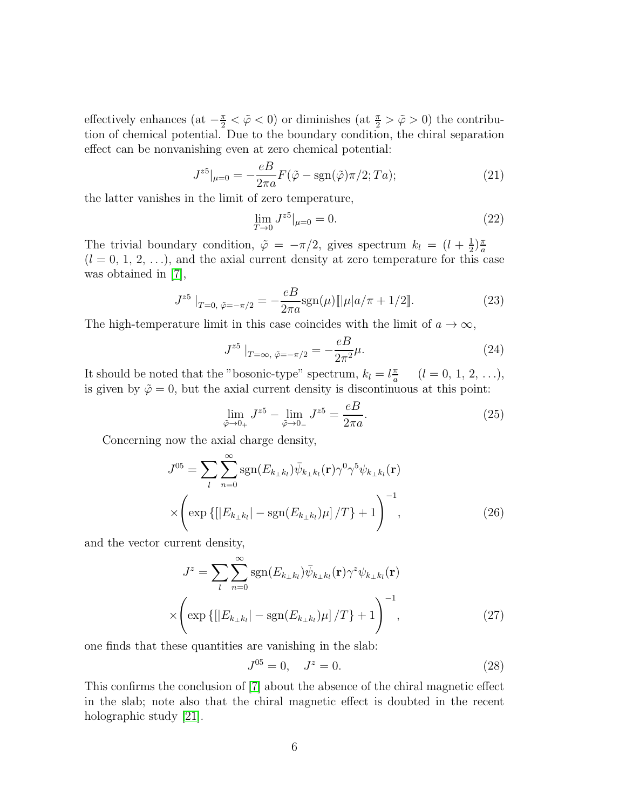effectively enhances (at  $-\frac{\pi}{2} < \tilde{\varphi} < 0$ ) or diminishes (at  $\frac{\pi}{2} > \tilde{\varphi} > 0$ ) the contribution of chemical potential. Due to the boundary condition, the chiral separation effect can be nonvanishing even at zero chemical potential:

$$
J^{z5}|_{\mu=0} = -\frac{eB}{2\pi a}F(\tilde{\varphi} - \text{sgn}(\tilde{\varphi})\pi/2; Ta); \qquad (21)
$$

the latter vanishes in the limit of zero temperature,

$$
\lim_{T \to 0} J^{z5}|_{\mu=0} = 0. \tag{22}
$$

The trivial boundary condition,  $\tilde{\varphi} = -\pi/2$ , gives spectrum  $k_l = (l + \frac{1}{2})$  $\frac{1}{2}$  $\frac{\pi}{a}$ a  $(l = 0, 1, 2, ...)$ , and the axial current density at zero temperature for this case was obtained in [\[7\]](#page-8-0),

$$
J^{z5}|_{T=0, \ \tilde{\varphi}=-\pi/2} = -\frac{eB}{2\pi a} \text{sgn}(\mu) [\|\mu| a/\pi + 1/2]. \tag{23}
$$

The high-temperature limit in this case coincides with the limit of  $a \to \infty$ ,

$$
J^{z5}|_{T=\infty, \ \tilde{\varphi}=-\pi/2} = -\frac{eB}{2\pi^2}\mu.
$$
 (24)

It should be noted that the "bosonic-type" spectrum,  $k_l = l \frac{\pi}{a}$  $\frac{\pi}{a}$   $(l = 0, 1, 2, ...)$ is given by  $\tilde{\varphi} = 0$ , but the axial current density is discontinuous at this point:

$$
\lim_{\tilde{\varphi}\to 0_+} J^{z5} - \lim_{\tilde{\varphi}\to 0_-} J^{z5} = \frac{eB}{2\pi a}.
$$
\n(25)

Concerning now the axial charge density,

$$
J^{05} = \sum_{l} \sum_{n=0}^{\infty} \text{sgn}(E_{k_{\perp}k_{l}}) \bar{\psi}_{k_{\perp}k_{l}}(\mathbf{r}) \gamma^{0} \gamma^{5} \psi_{k_{\perp}k_{l}}(\mathbf{r})
$$

$$
\times \left( \exp\left\{ \left[ |E_{k_{\perp}k_{l}}| - \text{sgn}(E_{k_{\perp}k_{l}}) \mu \right] / T \right\} + 1 \right)^{-1}, \tag{26}
$$

and the vector current density,

$$
J^{z} = \sum_{l} \sum_{n=0}^{\infty} \text{sgn}(E_{k_{\perp}k_{l}}) \bar{\psi}_{k_{\perp}k_{l}}(\mathbf{r}) \gamma^{z} \psi_{k_{\perp}k_{l}}(\mathbf{r})
$$

$$
\times \left( \exp\left\{ \left[ |E_{k_{\perp}k_{l}}| - \text{sgn}(E_{k_{\perp}k_{l}}) \mu \right] / T \right\} + 1 \right)^{-1}, \tag{27}
$$

one finds that these quantities are vanishing in the slab:

$$
J^{05} = 0, \quad J^z = 0. \tag{28}
$$

This confirms the conclusion of [\[7\]](#page-8-0) about the absence of the chiral magnetic effect in the slab; note also that the chiral magnetic effect is doubted in the recent holographic study [\[21\]](#page-8-14).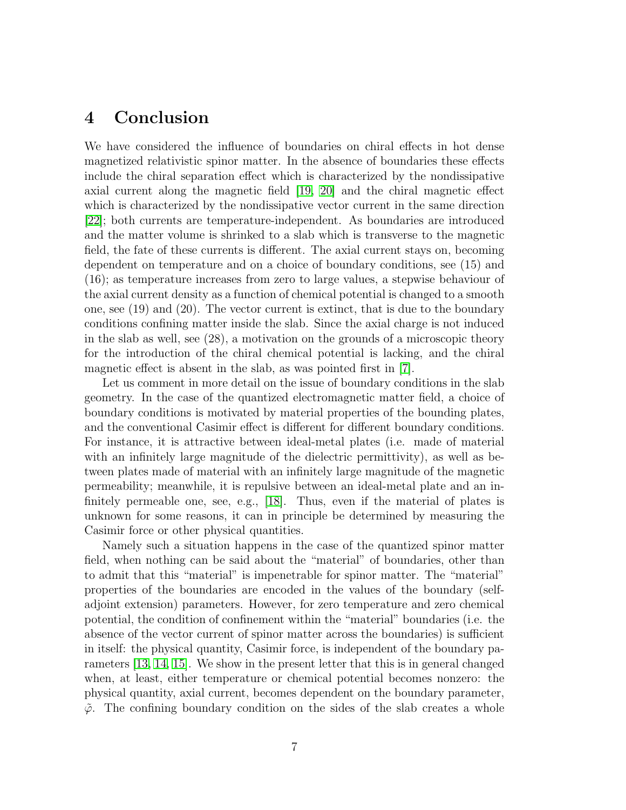### 4 Conclusion

We have considered the influence of boundaries on chiral effects in hot dense magnetized relativistic spinor matter. In the absence of boundaries these effects include the chiral separation effect which is characterized by the nondissipative axial current along the magnetic field [\[19,](#page-8-12) [20\]](#page-8-13) and the chiral magnetic effect which is characterized by the nondissipative vector current in the same direction [\[22\]](#page-8-15); both currents are temperature-independent. As boundaries are introduced and the matter volume is shrinked to a slab which is transverse to the magnetic field, the fate of these currents is different. The axial current stays on, becoming dependent on temperature and on a choice of boundary conditions, see (15) and (16); as temperature increases from zero to large values, a stepwise behaviour of the axial current density as a function of chemical potential is changed to a smooth one, see (19) and (20). The vector current is extinct, that is due to the boundary conditions confining matter inside the slab. Since the axial charge is not induced in the slab as well, see (28), a motivation on the grounds of a microscopic theory for the introduction of the chiral chemical potential is lacking, and the chiral magnetic effect is absent in the slab, as was pointed first in [\[7\]](#page-8-0).

Let us comment in more detail on the issue of boundary conditions in the slab geometry. In the case of the quantized electromagnetic matter field, a choice of boundary conditions is motivated by material properties of the bounding plates, and the conventional Casimir effect is different for different boundary conditions. For instance, it is attractive between ideal-metal plates (i.e. made of material with an infinitely large magnitude of the dielectric permittivity), as well as between plates made of material with an infinitely large magnitude of the magnetic permeability; meanwhile, it is repulsive between an ideal-metal plate and an infinitely permeable one, see, e.g., [\[18\]](#page-8-11). Thus, even if the material of plates is unknown for some reasons, it can in principle be determined by measuring the Casimir force or other physical quantities.

Namely such a situation happens in the case of the quantized spinor matter field, when nothing can be said about the "material" of boundaries, other than to admit that this "material" is impenetrable for spinor matter. The "material" properties of the boundaries are encoded in the values of the boundary (selfadjoint extension) parameters. However, for zero temperature and zero chemical potential, the condition of confinement within the "material" boundaries (i.e. the absence of the vector current of spinor matter across the boundaries) is sufficient in itself: the physical quantity, Casimir force, is independent of the boundary parameters [\[13,](#page-8-6) [14,](#page-8-7) [15\]](#page-8-8). We show in the present letter that this is in general changed when, at least, either temperature or chemical potential becomes nonzero: the physical quantity, axial current, becomes dependent on the boundary parameter,  $\tilde{\varphi}$ . The confining boundary condition on the sides of the slab creates a whole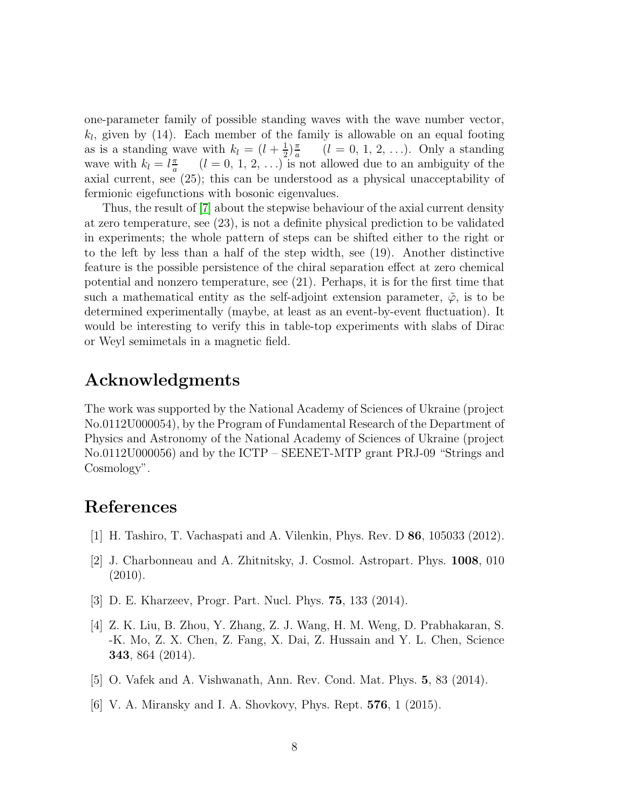one-parameter family of possible standing waves with the wave number vector,  $k_l$ , given by (14). Each member of the family is allowable on an equal footing as is a standing wave with  $k_l = (l + \frac{1}{2})$  $\frac{1}{2}$  $\frac{\pi}{a}$ a  $(l = 0, 1, 2, \ldots)$ . Only a standing wave with  $k_l = l \frac{\pi}{a}$  $\frac{\pi}{a}$  (*l* = 0, 1, 2, ...) is not allowed due to an ambiguity of the axial current, see (25); this can be understood as a physical unacceptability of fermionic eigefunctions with bosonic eigenvalues.

Thus, the result of [\[7\]](#page-8-0) about the stepwise behaviour of the axial current density at zero temperature, see (23), is not a definite physical prediction to be validated in experiments; the whole pattern of steps can be shifted either to the right or to the left by less than a half of the step width, see (19). Another distinctive feature is the possible persistence of the chiral separation effect at zero chemical potential and nonzero temperature, see (21). Perhaps, it is for the first time that such a mathematical entity as the self-adjoint extension parameter,  $\tilde{\varphi}$ , is to be determined experimentally (maybe, at least as an event-by-event fluctuation). It would be interesting to verify this in table-top experiments with slabs of Dirac or Weyl semimetals in a magnetic field.

## Acknowledgments

The work was supported by the National Academy of Sciences of Ukraine (project No.0112U000054), by the Program of Fundamental Research of the Department of Physics and Astronomy of the National Academy of Sciences of Ukraine (project No.0112U000056) and by the ICTP – SEENET-MTP grant PRJ-09 "Strings and Cosmology".

# <span id="page-7-0"></span>References

- <span id="page-7-1"></span>[1] H. Tashiro, T. Vachaspati and A. Vilenkin, Phys. Rev. D 86, 105033 (2012).
- [2] J. Charbonneau and A. Zhitnitsky, J. Cosmol. Astropart. Phys. 1008, 010 (2010).
- <span id="page-7-3"></span><span id="page-7-2"></span>[3] D. E. Kharzeev, Progr. Part. Nucl. Phys. 75, 133 (2014).
- [4] Z. K. Liu, B. Zhou, Y. Zhang, Z. J. Wang, H. M. Weng, D. Prabhakaran, S. -K. Mo, Z. X. Chen, Z. Fang, X. Dai, Z. Hussain and Y. L. Chen, Science 343, 864 (2014).
- <span id="page-7-5"></span><span id="page-7-4"></span>[5] O. Vafek and A. Vishwanath, Ann. Rev. Cond. Mat. Phys. 5, 83 (2014).
- [6] V. A. Miransky and I. A. Shovkovy, Phys. Rept. 576, 1 (2015).